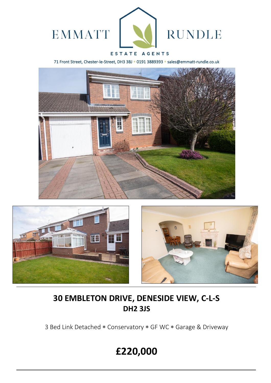

## ESTATE AGENTS

71 Front Street, Chester-le-Street, DH3 3BJ \* 0191 3889393 \* sales@emmatt-rundle.co.uk







# **30 EMBLETON DRIVE, DENESIDE VIEW, C-L-S DH2 3JS**

3 Bed Link Detached \* Conservatory \* GF WC \* Garage & Driveway

# **£220,000**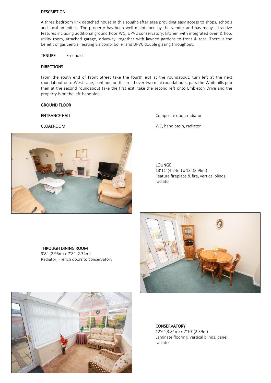## DESCRIPTION

A three bedroom link detached house in this sought-after area providing easy access to shops, schools and local amenities. The property has been well maintained by the vendor and has many attractive features including additional ground floor WC, UPVC conservatory, kitchen with integrated oven & hob, utility room, attached garage, driveway, together with lawned gardens to front & rear. There is the benefit of gas central heating via combi boiler and UPVC double glazing throughout.

TENURE - Freehold

## DIRECTIONS

From the south end of Front Street take the fourth exit at the roundabout, turn left at the next roundabout onto West Lane, continue on this road over two mini roundabouts, pass the Whitehills pub then at the second roundabout take the first exit, take the second left onto Embleton Drive and the property is on the left-hand side.

## GROUND FLOOR



ENTRANCE HALL **ENTRANCE** HALL **COMPOSITE DOMESTIC COMPOSITE door**, radiator

CLOAKROOM WC, hand basin, radiator

LOUNGE 13'11"(4.24m) x 13' (3.96m) Feature fireplace & fire, vertical blinds, radiator

## THROUGH DINING ROOM

9'8" (2.95m) x 7'8" (2.34m) Radiator, French doors to conservatory





**CONSERVATORY** 

12'6"(3.81m) x 7'10"(2.39m) Laminate flooring, vertical blinds, panel radiator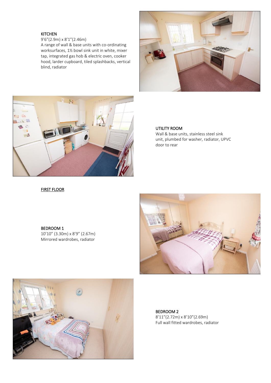## KITCHEN

9'6"(2.9m) x 8'1"(2.46m)

A range of wall & base units with co-ordinating worksurfaces, 1½ bowl sink unit in white, mixer tap, integrated gas hob & electric oven, cooker hood, larder cupboard, tiled splashbacks, vertical blind, radiator





## UTILITY ROOM

Wall & base units, stainless steel sink unit, plumbed for washer, radiator, UPVC door to rear

## FIRST FLOOR

BEDROOM 1 10'10" (3.30m) x 8'9" (2.67m) Mirrored wardrobes, radiator





BEDROOM 2 8'11"(2.72m) x 8'10"(2.69m) Full wall fitted wardrobes, radiator